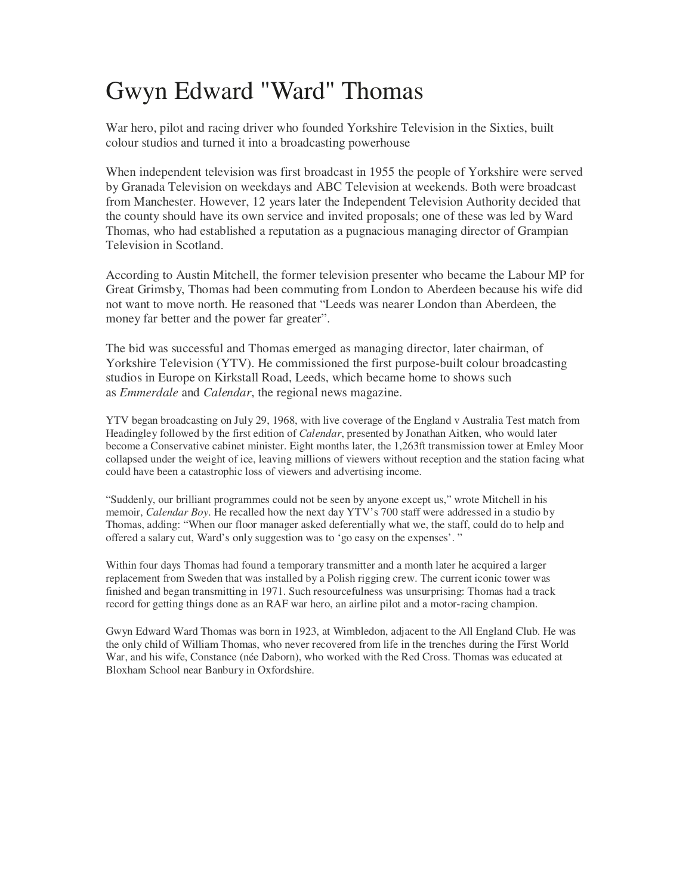## Gwyn Edward "Ward" Thomas

War hero, pilot and racing driver who founded Yorkshire Television in the Sixties, built colour studios and turned it into a broadcasting powerhouse

When independent television was first broadcast in 1955 the people of Yorkshire were served by Granada Television on weekdays and ABC Television at weekends. Both were broadcast from Manchester. However, 12 years later the Independent Television Authority decided that the county should have its own service and invited proposals; one of these was led by Ward Thomas, who had established a reputation as a pugnacious managing director of Grampian Television in Scotland.

According to Austin Mitchell, the former television presenter who became the Labour MP for Great Grimsby, Thomas had been commuting from London to Aberdeen because his wife did not want to move north. He reasoned that "Leeds was nearer London than Aberdeen, the money far better and the power far greater".

The bid was successful and Thomas emerged as managing director, later chairman, of Yorkshire Television (YTV). He commissioned the first purpose-built colour broadcasting studios in Europe on Kirkstall Road, Leeds, which became home to shows such as *Emmerdale* and *Calendar*, the regional news magazine.

YTV began broadcasting on July 29, 1968, with live coverage of the England v Australia Test match from Headingley followed by the first edition of *Calendar*, presented by Jonathan Aitken, who would later become a Conservative cabinet minister. Eight months later, the 1,263ft transmission tower at Emley Moor collapsed under the weight of ice, leaving millions of viewers without reception and the station facing what could have been a catastrophic loss of viewers and advertising income.

"Suddenly, our brilliant programmes could not be seen by anyone except us," wrote Mitchell in his memoir, *Calendar Boy*. He recalled how the next day YTV's 700 staff were addressed in a studio by Thomas, adding: "When our floor manager asked deferentially what we, the staff, could do to help and offered a salary cut, Ward's only suggestion was to 'go easy on the expenses'. "

Within four days Thomas had found a temporary transmitter and a month later he acquired a larger replacement from Sweden that was installed by a Polish rigging crew. The current iconic tower was finished and began transmitting in 1971. Such resourcefulness was unsurprising: Thomas had a track record for getting things done as an RAF war hero, an airline pilot and a motor-racing champion.

Gwyn Edward Ward Thomas was born in 1923, at Wimbledon, adjacent to the All England Club. He was the only child of William Thomas, who never recovered from life in the trenches during the First World War, and his wife, Constance (née Daborn), who worked with the Red Cross. Thomas was educated at Bloxham School near Banbury in Oxfordshire.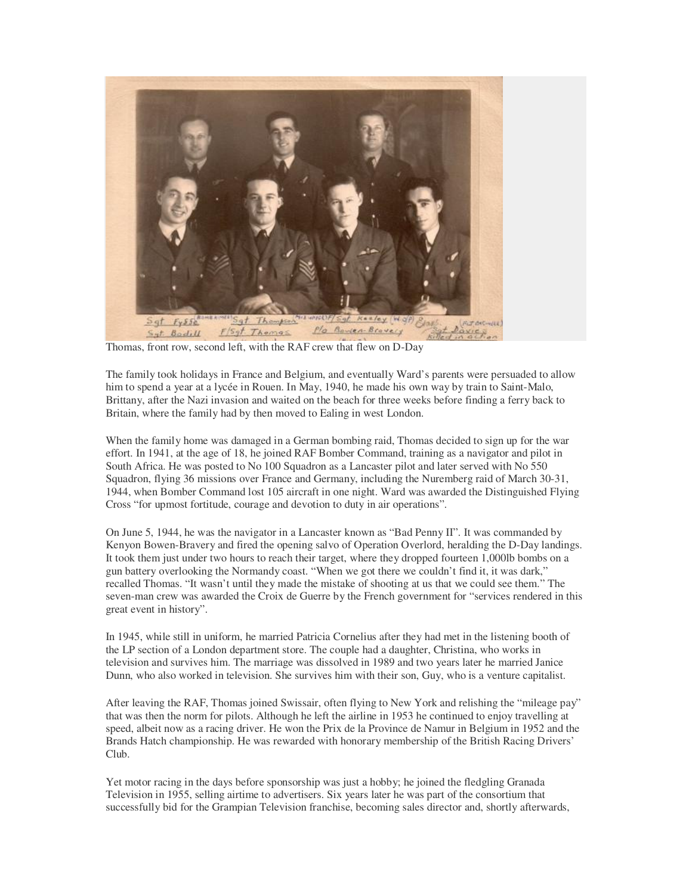

Thomas, front row, second left, with the RAF crew that flew on D-Day

The family took holidays in France and Belgium, and eventually Ward's parents were persuaded to allow him to spend a year at a lycée in Rouen. In May, 1940, he made his own way by train to Saint-Malo, Brittany, after the Nazi invasion and waited on the beach for three weeks before finding a ferry back to Britain, where the family had by then moved to Ealing in west London.

When the family home was damaged in a German bombing raid, Thomas decided to sign up for the war effort. In 1941, at the age of 18, he joined RAF Bomber Command, training as a navigator and pilot in South Africa. He was posted to No 100 Squadron as a Lancaster pilot and later served with No 550 Squadron, flying 36 missions over France and Germany, including the Nuremberg raid of March 30-31, 1944, when Bomber Command lost 105 aircraft in one night. Ward was awarded the Distinguished Flying Cross "for upmost fortitude, courage and devotion to duty in air operations".

On June 5, 1944, he was the navigator in a Lancaster known as "Bad Penny II". It was commanded by Kenyon Bowen-Bravery and fired the opening salvo of Operation Overlord, heralding the D-Day landings. It took them just under two hours to reach their target, where they dropped fourteen 1,000lb bombs on a gun battery overlooking the Normandy coast. "When we got there we couldn't find it, it was dark," recalled Thomas. "It wasn't until they made the mistake of shooting at us that we could see them." The seven-man crew was awarded the Croix de Guerre by the French government for "services rendered in this great event in history".

In 1945, while still in uniform, he married Patricia Cornelius after they had met in the listening booth of the LP section of a London department store. The couple had a daughter, Christina, who works in television and survives him. The marriage was dissolved in 1989 and two years later he married Janice Dunn, who also worked in television. She survives him with their son, Guy, who is a venture capitalist.

After leaving the RAF, Thomas joined Swissair, often flying to New York and relishing the "mileage pay" that was then the norm for pilots. Although he left the airline in 1953 he continued to enjoy travelling at speed, albeit now as a racing driver. He won the Prix de la Province de Namur in Belgium in 1952 and the Brands Hatch championship. He was rewarded with honorary membership of the British Racing Drivers' Club.

Yet motor racing in the days before sponsorship was just a hobby; he joined the fledgling Granada Television in 1955, selling airtime to advertisers. Six years later he was part of the consortium that successfully bid for the Grampian Television franchise, becoming sales director and, shortly afterwards,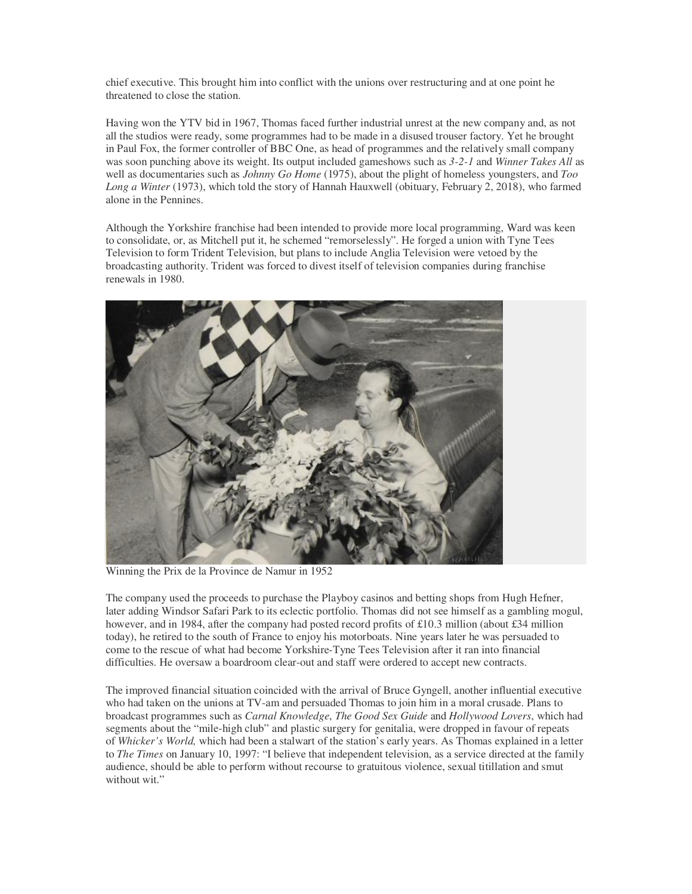chief executive. This brought him into conflict with the unions over restructuring and at one point he threatened to close the station.

Having won the YTV bid in 1967, Thomas faced further industrial unrest at the new company and, as not all the studios were ready, some programmes had to be made in a disused trouser factory. Yet he brought in Paul Fox, the former controller of BBC One, as head of programmes and the relatively small company was soon punching above its weight. Its output included gameshows such as *3-2-1* and *Winner Takes All* as well as documentaries such as *Johnny Go Home* (1975), about the plight of homeless youngsters, and *Too Long a Winter* (1973), which told the story of Hannah Hauxwell (obituary, February 2, 2018), who farmed alone in the Pennines.

Although the Yorkshire franchise had been intended to provide more local programming, Ward was keen to consolidate, or, as Mitchell put it, he schemed "remorselessly". He forged a union with Tyne Tees Television to form Trident Television, but plans to include Anglia Television were vetoed by the broadcasting authority. Trident was forced to divest itself of television companies during franchise renewals in 1980.



Winning the Prix de la Province de Namur in 1952

The company used the proceeds to purchase the Playboy casinos and betting shops from Hugh Hefner, later adding Windsor Safari Park to its eclectic portfolio. Thomas did not see himself as a gambling mogul, however, and in 1984, after the company had posted record profits of £10.3 million (about £34 million today), he retired to the south of France to enjoy his motorboats. Nine years later he was persuaded to come to the rescue of what had become Yorkshire-Tyne Tees Television after it ran into financial difficulties. He oversaw a boardroom clear-out and staff were ordered to accept new contracts.

The improved financial situation coincided with the arrival of Bruce Gyngell, another influential executive who had taken on the unions at TV-am and persuaded Thomas to join him in a moral crusade. Plans to broadcast programmes such as *Carnal Knowledge*, *The Good Sex Guide* and *Hollywood Lovers*, which had segments about the "mile-high club" and plastic surgery for genitalia, were dropped in favour of repeats of *Whicker's World,* which had been a stalwart of the station's early years. As Thomas explained in a letter to *The Times* on January 10, 1997: "I believe that independent television, as a service directed at the family audience, should be able to perform without recourse to gratuitous violence, sexual titillation and smut without wit."